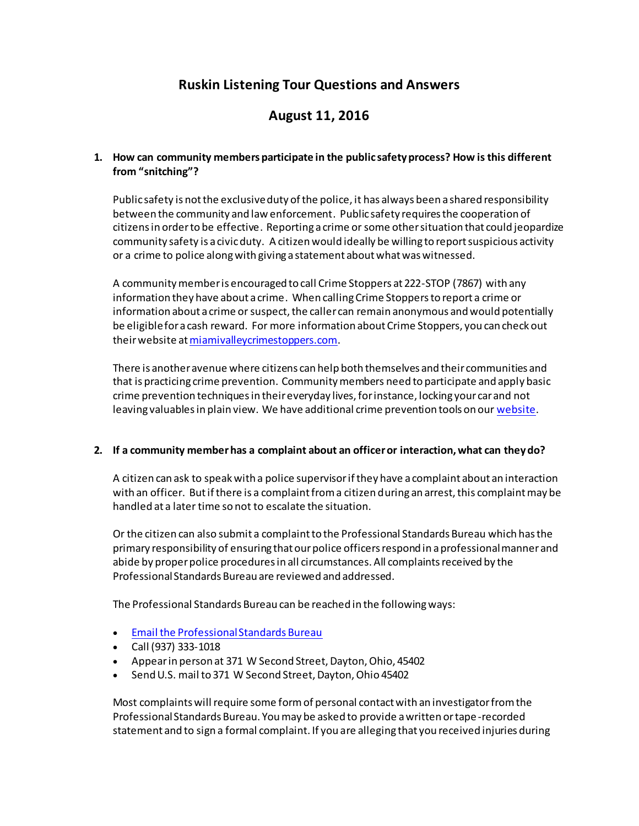# **Ruskin Listening Tour Questions and Answers**

# **August 11, 2016**

## **1. How can community members participate in the public safety process? How is this different from "snitching"?**

Public safety is not the exclusive duty of the police, it has always been a shared responsibility between the community and law enforcement. Public safety requires the cooperation of citizens in order to be effective. Reporting a crime or some other situation that could jeopardize community safety is a civic duty. A citizen would ideally be willing to report suspicious activity or a crime to police along with giving a statement about what was witnessed.

A community member is encouraged to call Crime Stoppers at 222-STOP (7867) with any information they have about a crime. When calling Crime Stoppers to report a crime or information about a crime or suspect, the caller can remain anonymous and would potentially be eligible for a cash reward. For more information about Crime Stoppers, you can check out their website a[t miamivalleycrimestoppers.com](http://miamivalleycrimestoppers.com/).

There is another avenue where citizens can help both themselves and their communities and that is practicing crime prevention. Community members need to participate and apply basic crime prevention techniques in their everyday lives, for instance, locking your car and not leaving valuables in plain view. We have additional crime prevention tools on ou[r website](http://www.daytonohio.gov/245/Crime-Prevention-Tips).

#### **2. If a community member has a complaint about an officer or interaction, what can they do?**

A citizen can ask to speak with a police supervisor if they have a complaint about an interaction with an officer. But if there is a complaint from a citizen during an arrest, this complaint may be handled at a later time so not to escalate the situation.

Or the citizen can also submit a complaint to the Professional Standards Bureau which has the primary responsibility of ensuring that our police officers respond in a professional manner and abide by proper police procedures in all circumstances. All complaints received by the Professional Standards Bureau are reviewed and addressed.

The Professional Standards Bureau can be reached in the following ways:

- [Email the Professional Standards Bureau](mailto:DPD_Prof_Stand_Bur_DG@daytonohio.gov)
- Call (937) 333-1018
- Appear in person at 371 W Second Street, Dayton, Ohio, 45402
- Send U.S. mail to 371 W Second Street, Dayton, Ohio 45402

Most complaints will require some form of personal contact with an investigator from the Professional Standards Bureau. You may be asked to provide a written or tape-recorded statement and to sign a formal complaint. If you are alleging that you received injuries during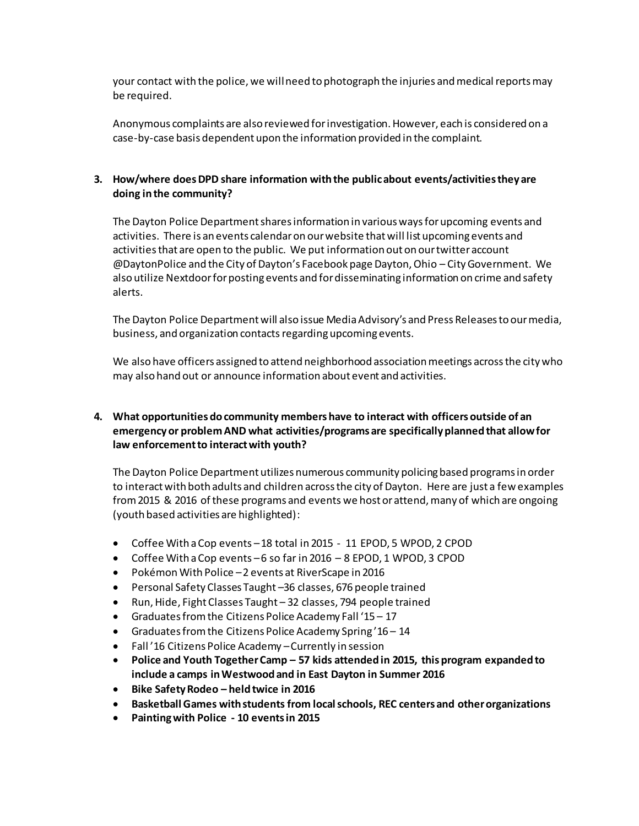your contact with the police, we will need to photograph the injuries and medical reports may be required.

Anonymous complaints are also reviewed for investigation. However, each is considered on a case-by-case basis dependent upon the information provided in the complaint.

## **3. How/where does DPD share information with the public about events/activities they are doing in the community?**

The Dayton Police Department shares information in various ways for upcoming events and activities. There is an events calendar on our website that will list upcoming events and activities that are open to the public. We put information out on our twitter account @DaytonPolice and the City of Dayton's Facebook page Dayton, Ohio – City Government. We also utilize Nextdoor for posting events and for disseminating information on crime and safety alerts.

The Dayton Police Department will also issue Media Advisory's and Press Releases to our media, business, and organization contacts regarding upcoming events.

We also have officers assigned to attend neighborhood association meetings across the city who may also hand out or announce information about event and activities.

# **4. What opportunities do community members have to interact with officers outside of an emergency or problem AND what activities/programs are specifically planned that allow for law enforcement to interact with youth?**

The Dayton Police Department utilizes numerous community policing based programs in order to interactwith both adults and children across the city of Dayton. Here are just a few examples from 2015 & 2016 of these programs and events we host or attend, many of which are ongoing (youth based activities are highlighted):

- Coffee With a Cop events –18 total in 2015 11 EPOD, 5 WPOD, 2 CPOD
- Coffee With a Cop events –6 so far in 2016 8 EPOD, 1 WPOD, 3 CPOD
- Pokémon With Police –2 events at RiverScape in 2016
- Personal Safety Classes Taught –36 classes, 676 people trained
- Run, Hide, Fight Classes Taught 32 classes, 794 people trained
- Graduates from the Citizens Police Academy Fall '15 17
- Graduates from the Citizens Police Academy Spring '16 14
- Fall '16 Citizens Police Academy –Currently in session
- **Police and Youth Together Camp – 57 kids attended in 2015, this program expanded to include a camps in Westwood and in East Dayton in Summer 2016**
- **Bike Safety Rodeo – held twice in 2016**
- **Basketball Games with students from local schools, REC centers and other organizations**
- **Painting with Police - 10 events in 2015**